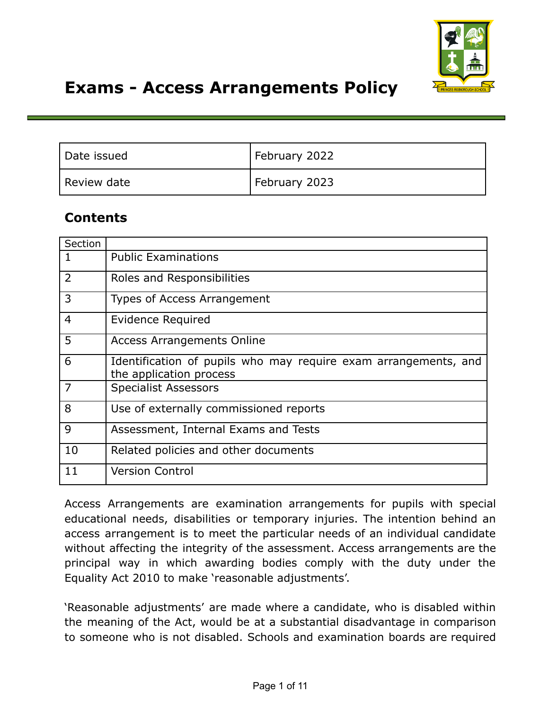

# **Exams - Access Arrangements Policy**

| Date issued | February 2022 |
|-------------|---------------|
| Review date | February 2023 |

## **Contents**

| Section        |                                                                                            |  |
|----------------|--------------------------------------------------------------------------------------------|--|
| 1              | <b>Public Examinations</b>                                                                 |  |
| $\overline{2}$ | Roles and Responsibilities                                                                 |  |
| 3              | Types of Access Arrangement                                                                |  |
| $\overline{4}$ | Evidence Required                                                                          |  |
| 5              | <b>Access Arrangements Online</b>                                                          |  |
| 6              | Identification of pupils who may require exam arrangements, and<br>the application process |  |
| 7              | <b>Specialist Assessors</b>                                                                |  |
| 8              | Use of externally commissioned reports                                                     |  |
| 9              | Assessment, Internal Exams and Tests                                                       |  |
| 10             | Related policies and other documents                                                       |  |
| 11             | <b>Version Control</b>                                                                     |  |

Access Arrangements are examination arrangements for pupils with special educational needs, disabilities or temporary injuries. The intention behind an access arrangement is to meet the particular needs of an individual candidate without affecting the integrity of the assessment. Access arrangements are the principal way in which awarding bodies comply with the duty under the Equality Act 2010 to make 'reasonable adjustments'.

'Reasonable adjustments' are made where a candidate, who is disabled within the meaning of the Act, would be at a substantial disadvantage in comparison to someone who is not disabled. Schools and examination boards are required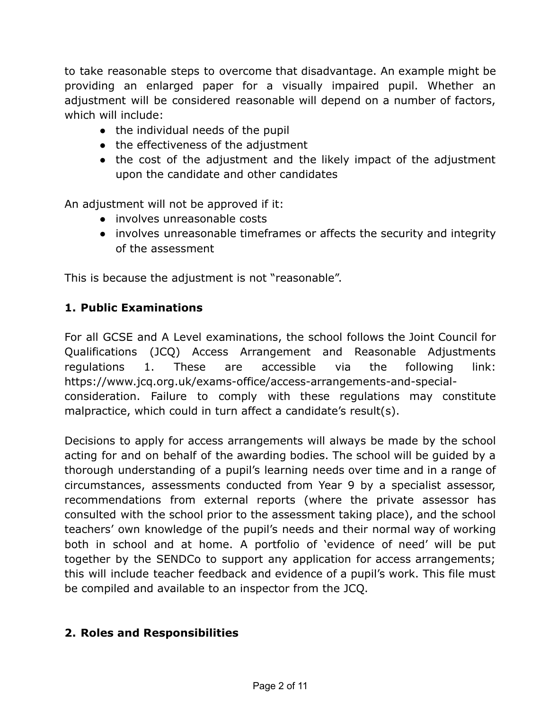to take reasonable steps to overcome that disadvantage. An example might be providing an enlarged paper for a visually impaired pupil. Whether an adjustment will be considered reasonable will depend on a number of factors, which will include:

- the individual needs of the pupil
- the effectiveness of the adjustment
- the cost of the adjustment and the likely impact of the adjustment upon the candidate and other candidates

An adjustment will not be approved if it:

- involves unreasonable costs
- involves unreasonable timeframes or affects the security and integrity of the assessment

This is because the adjustment is not "reasonable".

## **1. Public Examinations**

For all GCSE and A Level examinations, the school follows the Joint Council for Qualifications (JCQ) Access Arrangement and Reasonable Adjustments regulations 1. These are accessible via the following link: https://www.jcq.org.uk/exams-office/access-arrangements-and-specialconsideration. Failure to comply with these regulations may constitute malpractice, which could in turn affect a candidate's result(s).

Decisions to apply for access arrangements will always be made by the school acting for and on behalf of the awarding bodies. The school will be guided by a thorough understanding of a pupil's learning needs over time and in a range of circumstances, assessments conducted from Year 9 by a specialist assessor, recommendations from external reports (where the private assessor has consulted with the school prior to the assessment taking place), and the school teachers' own knowledge of the pupil's needs and their normal way of working both in school and at home. A portfolio of 'evidence of need' will be put together by the SENDCo to support any application for access arrangements; this will include teacher feedback and evidence of a pupil's work. This file must be compiled and available to an inspector from the JCQ.

## **2. Roles and Responsibilities**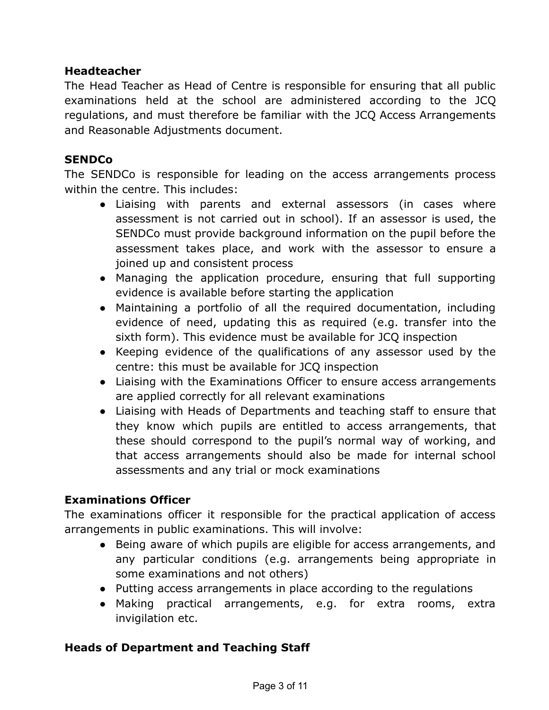## **Headteacher**

The Head Teacher as Head of Centre is responsible for ensuring that all public examinations held at the school are administered according to the JCQ regulations, and must therefore be familiar with the JCQ Access Arrangements and Reasonable Adjustments document.

#### **SENDCo**

The SENDCo is responsible for leading on the access arrangements process within the centre. This includes:

- Liaising with parents and external assessors (in cases where assessment is not carried out in school). If an assessor is used, the SENDCo must provide background information on the pupil before the assessment takes place, and work with the assessor to ensure a joined up and consistent process
- Managing the application procedure, ensuring that full supporting evidence is available before starting the application
- Maintaining a portfolio of all the required documentation, including evidence of need, updating this as required (e.g. transfer into the sixth form). This evidence must be available for JCQ inspection
- Keeping evidence of the qualifications of any assessor used by the centre: this must be available for JCQ inspection
- Liaising with the Examinations Officer to ensure access arrangements are applied correctly for all relevant examinations
- Liaising with Heads of Departments and teaching staff to ensure that they know which pupils are entitled to access arrangements, that these should correspond to the pupil's normal way of working, and that access arrangements should also be made for internal school assessments and any trial or mock examinations

#### **Examinations Officer**

The examinations officer it responsible for the practical application of access arrangements in public examinations. This will involve:

- Being aware of which pupils are eligible for access arrangements, and any particular conditions (e.g. arrangements being appropriate in some examinations and not others)
- Putting access arrangements in place according to the regulations
- Making practical arrangements, e.g. for extra rooms, extra invigilation etc.

#### **Heads of Department and Teaching Staff**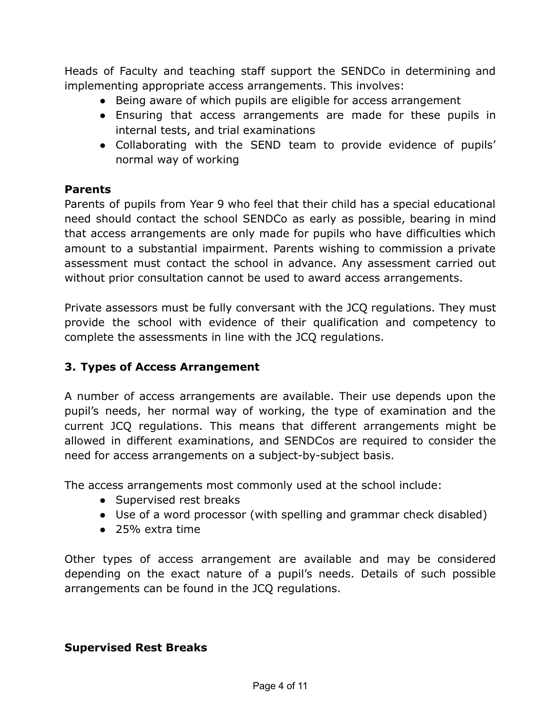Heads of Faculty and teaching staff support the SENDCo in determining and implementing appropriate access arrangements. This involves:

- Being aware of which pupils are eligible for access arrangement
- Ensuring that access arrangements are made for these pupils in internal tests, and trial examinations
- Collaborating with the SEND team to provide evidence of pupils' normal way of working

#### **Parents**

Parents of pupils from Year 9 who feel that their child has a special educational need should contact the school SENDCo as early as possible, bearing in mind that access arrangements are only made for pupils who have difficulties which amount to a substantial impairment. Parents wishing to commission a private assessment must contact the school in advance. Any assessment carried out without prior consultation cannot be used to award access arrangements.

Private assessors must be fully conversant with the JCQ regulations. They must provide the school with evidence of their qualification and competency to complete the assessments in line with the JCQ regulations.

## **3. Types of Access Arrangement**

A number of access arrangements are available. Their use depends upon the pupil's needs, her normal way of working, the type of examination and the current JCQ regulations. This means that different arrangements might be allowed in different examinations, and SENDCos are required to consider the need for access arrangements on a subject-by-subject basis.

The access arrangements most commonly used at the school include:

- Supervised rest breaks
- Use of a word processor (with spelling and grammar check disabled)
- 25% extra time

Other types of access arrangement are available and may be considered depending on the exact nature of a pupil's needs. Details of such possible arrangements can be found in the JCQ regulations.

#### **Supervised Rest Breaks**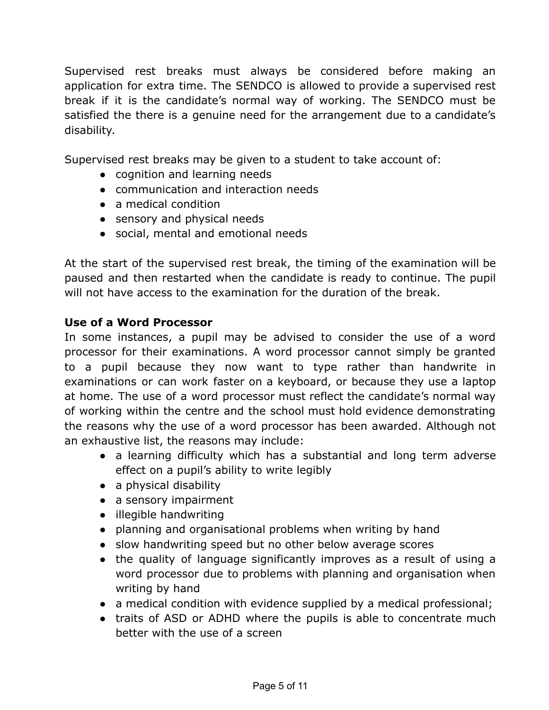Supervised rest breaks must always be considered before making an application for extra time. The SENDCO is allowed to provide a supervised rest break if it is the candidate's normal way of working. The SENDCO must be satisfied the there is a genuine need for the arrangement due to a candidate's disability.

Supervised rest breaks may be given to a student to take account of:

- cognition and learning needs
- communication and interaction needs
- a medical condition
- sensory and physical needs
- social, mental and emotional needs

At the start of the supervised rest break, the timing of the examination will be paused and then restarted when the candidate is ready to continue. The pupil will not have access to the examination for the duration of the break.

#### **Use of a Word Processor**

In some instances, a pupil may be advised to consider the use of a word processor for their examinations. A word processor cannot simply be granted to a pupil because they now want to type rather than handwrite in examinations or can work faster on a keyboard, or because they use a laptop at home. The use of a word processor must reflect the candidate's normal way of working within the centre and the school must hold evidence demonstrating the reasons why the use of a word processor has been awarded. Although not an exhaustive list, the reasons may include:

- a learning difficulty which has a substantial and long term adverse effect on a pupil's ability to write legibly
- a physical disability
- a sensory impairment
- illegible handwriting
- planning and organisational problems when writing by hand
- slow handwriting speed but no other below average scores
- the quality of language significantly improves as a result of using a word processor due to problems with planning and organisation when writing by hand
- a medical condition with evidence supplied by a medical professional;
- traits of ASD or ADHD where the pupils is able to concentrate much better with the use of a screen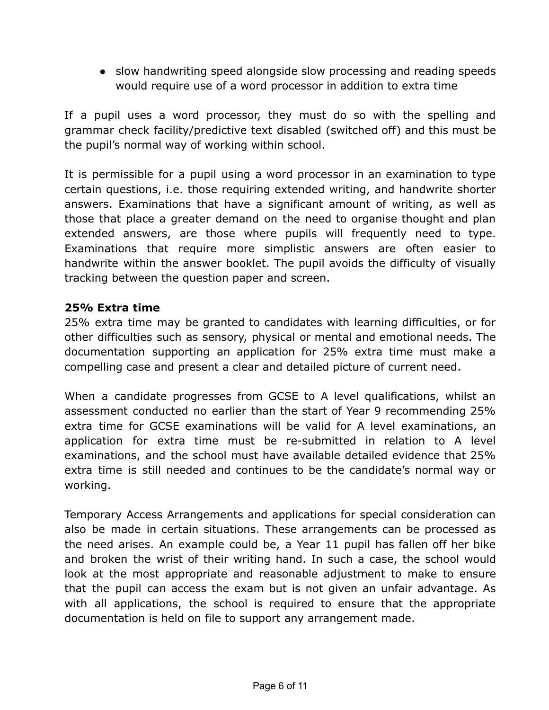• slow handwriting speed alongside slow processing and reading speeds would require use of a word processor in addition to extra time

If a pupil uses a word processor, they must do so with the spelling and grammar check facility/predictive text disabled (switched off) and this must be the pupil's normal way of working within school.

It is permissible for a pupil using a word processor in an examination to type certain questions, i.e. those requiring extended writing, and handwrite shorter answers. Examinations that have a significant amount of writing, as well as those that place a greater demand on the need to organise thought and plan extended answers, are those where pupils will frequently need to type. Examinations that require more simplistic answers are often easier to handwrite within the answer booklet. The pupil avoids the difficulty of visually tracking between the question paper and screen.

#### **25% Extra time**

25% extra time may be granted to candidates with learning difficulties, or for other difficulties such as sensory, physical or mental and emotional needs. The documentation supporting an application for 25% extra time must make a compelling case and present a clear and detailed picture of current need.

When a candidate progresses from GCSE to A level qualifications, whilst an assessment conducted no earlier than the start of Year 9 recommending 25% extra time for GCSE examinations will be valid for A level examinations, an application for extra time must be re-submitted in relation to A level examinations, and the school must have available detailed evidence that 25% extra time is still needed and continues to be the candidate's normal way or working.

Temporary Access Arrangements and applications for special consideration can also be made in certain situations. These arrangements can be processed as the need arises. An example could be, a Year 11 pupil has fallen off her bike and broken the wrist of their writing hand. In such a case, the school would look at the most appropriate and reasonable adjustment to make to ensure that the pupil can access the exam but is not given an unfair advantage. As with all applications, the school is required to ensure that the appropriate documentation is held on file to support any arrangement made.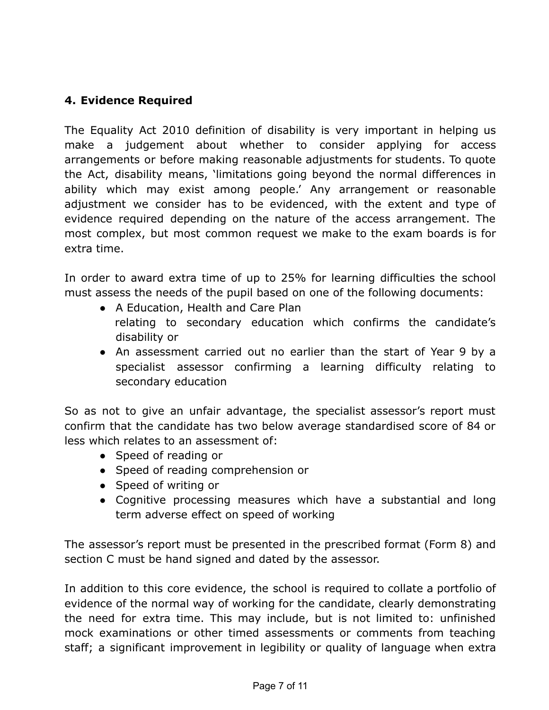## **4. Evidence Required**

The Equality Act 2010 definition of disability is very important in helping us make a judgement about whether to consider applying for access arrangements or before making reasonable adjustments for students. To quote the Act, disability means, 'limitations going beyond the normal differences in ability which may exist among people.' Any arrangement or reasonable adjustment we consider has to be evidenced, with the extent and type of evidence required depending on the nature of the access arrangement. The most complex, but most common request we make to the exam boards is for extra time.

In order to award extra time of up to 25% for learning difficulties the school must assess the needs of the pupil based on one of the following documents:

- A Education, Health and Care Plan relating to secondary education which confirms the candidate's disability or
- An assessment carried out no earlier than the start of Year 9 by a specialist assessor confirming a learning difficulty relating to secondary education

So as not to give an unfair advantage, the specialist assessor's report must confirm that the candidate has two below average standardised score of 84 or less which relates to an assessment of:

- Speed of reading or
- Speed of reading comprehension or
- Speed of writing or
- Cognitive processing measures which have a substantial and long term adverse effect on speed of working

The assessor's report must be presented in the prescribed format (Form 8) and section C must be hand signed and dated by the assessor.

In addition to this core evidence, the school is required to collate a portfolio of evidence of the normal way of working for the candidate, clearly demonstrating the need for extra time. This may include, but is not limited to: unfinished mock examinations or other timed assessments or comments from teaching staff; a significant improvement in legibility or quality of language when extra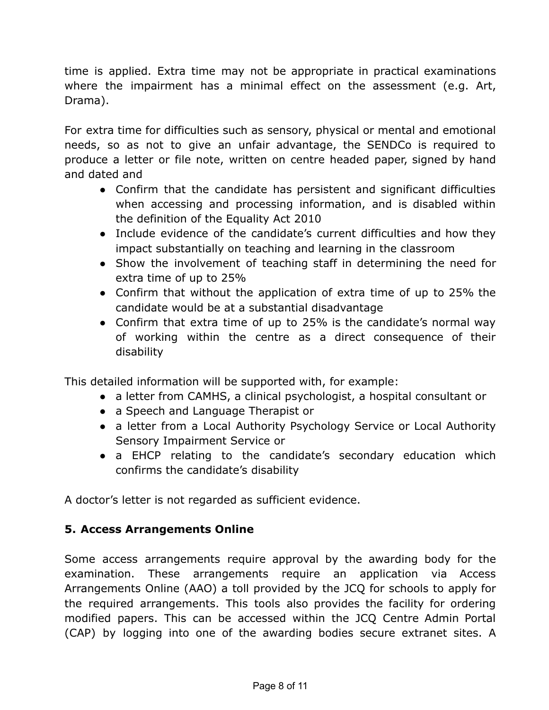time is applied. Extra time may not be appropriate in practical examinations where the impairment has a minimal effect on the assessment (e.g. Art, Drama).

For extra time for difficulties such as sensory, physical or mental and emotional needs, so as not to give an unfair advantage, the SENDCo is required to produce a letter or file note, written on centre headed paper, signed by hand and dated and

- Confirm that the candidate has persistent and significant difficulties when accessing and processing information, and is disabled within the definition of the Equality Act 2010
- Include evidence of the candidate's current difficulties and how they impact substantially on teaching and learning in the classroom
- Show the involvement of teaching staff in determining the need for extra time of up to 25%
- Confirm that without the application of extra time of up to 25% the candidate would be at a substantial disadvantage
- Confirm that extra time of up to 25% is the candidate's normal way of working within the centre as a direct consequence of their disability

This detailed information will be supported with, for example:

- a letter from CAMHS, a clinical psychologist, a hospital consultant or
- a Speech and Language Therapist or
- a letter from a Local Authority Psychology Service or Local Authority Sensory Impairment Service or
- a EHCP relating to the candidate's secondary education which confirms the candidate's disability

A doctor's letter is not regarded as sufficient evidence.

## **5. Access Arrangements Online**

Some access arrangements require approval by the awarding body for the examination. These arrangements require an application via Access Arrangements Online (AAO) a toll provided by the JCQ for schools to apply for the required arrangements. This tools also provides the facility for ordering modified papers. This can be accessed within the JCQ Centre Admin Portal (CAP) by logging into one of the awarding bodies secure extranet sites. A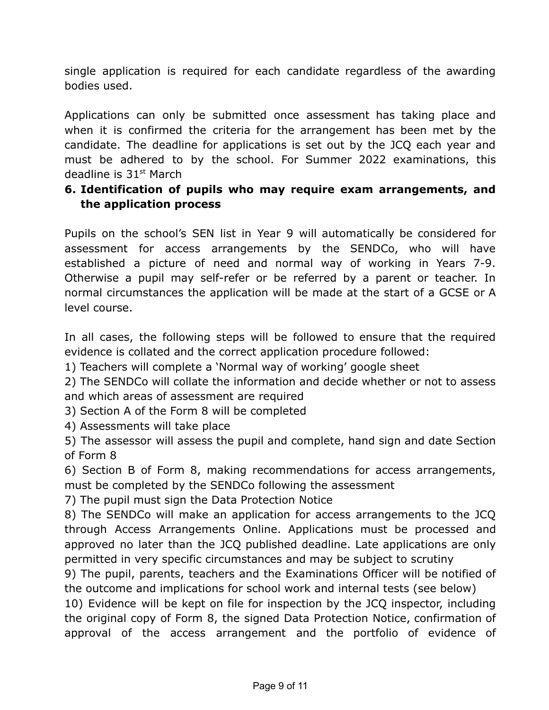single application is required for each candidate regardless of the awarding bodies used.

Applications can only be submitted once assessment has taking place and when it is confirmed the criteria for the arrangement has been met by the candidate. The deadline for applications is set out by the JCQ each year and must be adhered to by the school. For Summer 2022 examinations, this deadline is 31st March

## **6. Identification of pupils who may require exam arrangements, and the application process**

Pupils on the school's SEN list in Year 9 will automatically be considered for assessment for access arrangements by the SENDCo, who will have established a picture of need and normal way of working in Years 7-9. Otherwise a pupil may self-refer or be referred by a parent or teacher. In normal circumstances the application will be made at the start of a GCSE or A level course.

In all cases, the following steps will be followed to ensure that the required evidence is collated and the correct application procedure followed:

1) Teachers will complete a 'Normal way of working' google sheet

2) The SENDCo will collate the information and decide whether or not to assess and which areas of assessment are required

3) Section A of the Form 8 will be completed

4) Assessments will take place

5) The assessor will assess the pupil and complete, hand sign and date Section of Form 8

6) Section B of Form 8, making recommendations for access arrangements, must be completed by the SENDCo following the assessment

7) The pupil must sign the Data Protection Notice

8) The SENDCo will make an application for access arrangements to the JCQ through Access Arrangements Online. Applications must be processed and approved no later than the JCQ published deadline. Late applications are only permitted in very specific circumstances and may be subject to scrutiny

9) The pupil, parents, teachers and the Examinations Officer will be notified of the outcome and implications for school work and internal tests (see below)

10) Evidence will be kept on file for inspection by the JCQ inspector, including the original copy of Form 8, the signed Data Protection Notice, confirmation of approval of the access arrangement and the portfolio of evidence of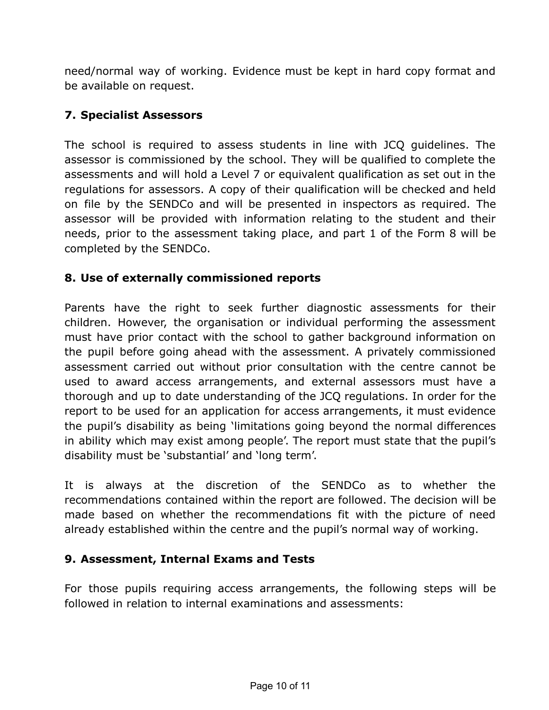need/normal way of working. Evidence must be kept in hard copy format and be available on request.

## **7. Specialist Assessors**

The school is required to assess students in line with JCQ guidelines. The assessor is commissioned by the school. They will be qualified to complete the assessments and will hold a Level 7 or equivalent qualification as set out in the regulations for assessors. A copy of their qualification will be checked and held on file by the SENDCo and will be presented in inspectors as required. The assessor will be provided with information relating to the student and their needs, prior to the assessment taking place, and part 1 of the Form 8 will be completed by the SENDCo.

## **8. Use of externally commissioned reports**

Parents have the right to seek further diagnostic assessments for their children. However, the organisation or individual performing the assessment must have prior contact with the school to gather background information on the pupil before going ahead with the assessment. A privately commissioned assessment carried out without prior consultation with the centre cannot be used to award access arrangements, and external assessors must have a thorough and up to date understanding of the JCQ regulations. In order for the report to be used for an application for access arrangements, it must evidence the pupil's disability as being 'limitations going beyond the normal differences in ability which may exist among people'. The report must state that the pupil's disability must be 'substantial' and 'long term'.

It is always at the discretion of the SENDCo as to whether the recommendations contained within the report are followed. The decision will be made based on whether the recommendations fit with the picture of need already established within the centre and the pupil's normal way of working.

## **9. Assessment, Internal Exams and Tests**

For those pupils requiring access arrangements, the following steps will be followed in relation to internal examinations and assessments: